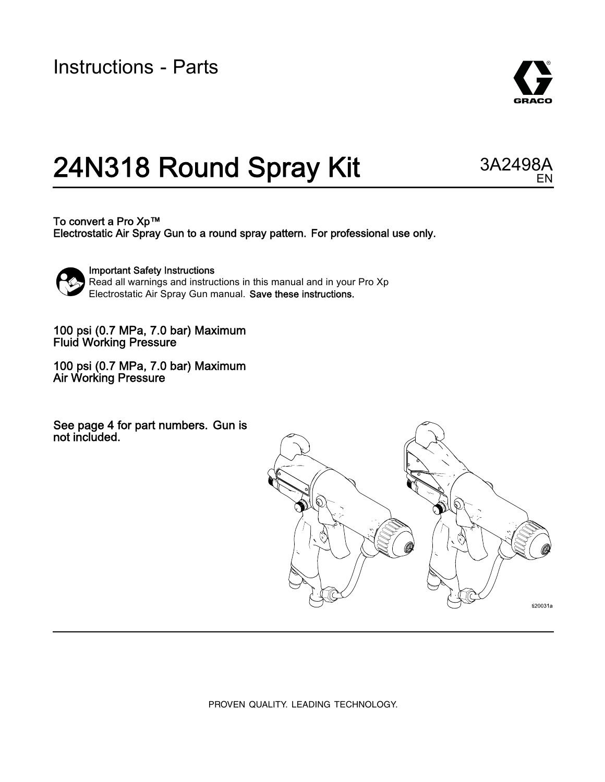Instructions - Parts



EN

# 24N318 Round Spray Kit 3A2498A

To convert a Pro Xp™ Electrostatic Air Spray Gun to a round spray pattern. For professional use only.



Important Safety Instructions Read all warnings and instructions in this manual and in your Pro Xp Electrostatic Air Spray Gun manual. Save these instructions.

100 psi (0.7 MPa, 7.0 bar) Maximum Fluid Working Pressure

100 psi (0.7 MPa, 7.0 bar) Maximum Air Working Pressure

See page 4 for part numbers. Gun is not included.



PROVEN QUALITY. LEADING TECHNOLOGY.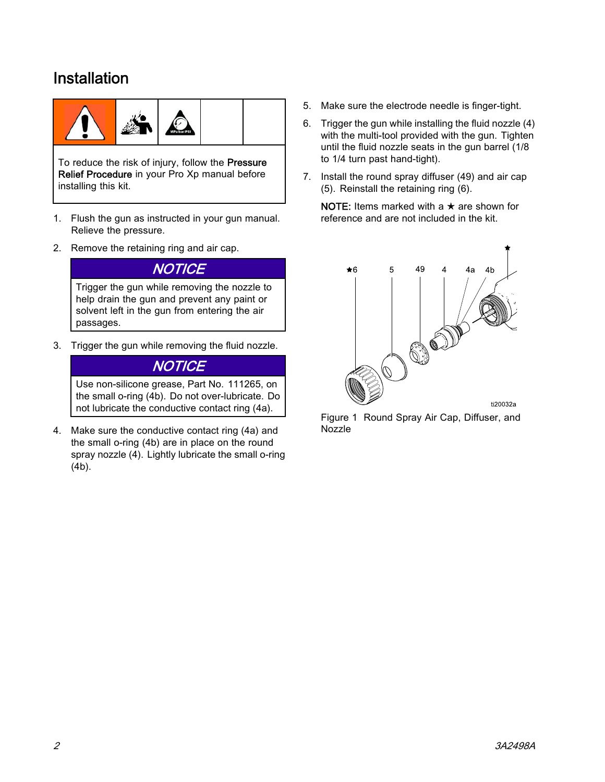### Installation



To reduce the risk of injury, follow the Pressure Relief Procedure in your Pro Xp manual before installing this kit.

- 1. Flush the gun as instructed in your gun manual. Relieve the pressure.
- 2. Remove the retaining ring and air cap.

#### **NOTICE**

Trigger the gun while removing the nozzle to help drain the gun and prevent any paint or solvent left in the gun from entering the air passages.

3. Trigger the gun while removing the fluid nozzle.

#### **NOTICE**

Use non-silicone grease, Part No. 111265, on the small o-ring (4b). Do not over-lubricate. Do not lubricate the conductive contact ring (4a).

4. Make sure the conductive contact ring (4a) and the small o-ring (4b) are in place on the round spray nozzle (4). Lightly lubricate the small o-ring (4b).

- 5. Make sure the electrode needle is finger-tight.
- 6. Trigger the gun while installing the fluid nozzle (4) with the multi-tool provided with the gun. Tighten until the fluid nozzle seats in the gun barrel (1/8 to 1/4 turn past hand-tight).
- 7. Install the round spray diffuser (49) and air cap (5). Reinstall the retaining ring (6).

NOTE: Items marked with a  $\star$  are shown for reference and are not included in the kit.



Figure 1 Round Spray Air Cap, Diffuser, and Nozzle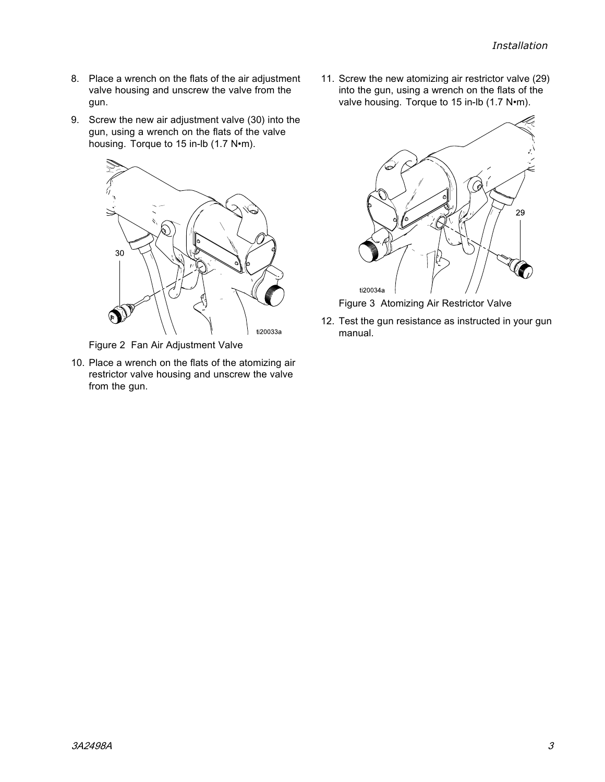- 8. Place a wrench on the flats of the air adjustment valve housing and unscrew the valve from the gun.
- 9. Screw the new air adjustment valve (30) into the gun, using a wrench on the flats of the valve housing. Torque to 15 in-lb (1.7 N•m).



Figure 2 Fan Air Adjustment Valve

10. Place a wrench on the flats of the atomizing air restrictor valve housing and unscrew the valve from the gun.

11. Screw the new atomizing air restrictor valve (29) into the gun, using a wrench on the flats of the valve housing. Torque to 15 in-lb (1.7 N•m).



Figure 3 Atomizing Air Restrictor Valve

12. Test the gun resistance as instructed in your gun manual.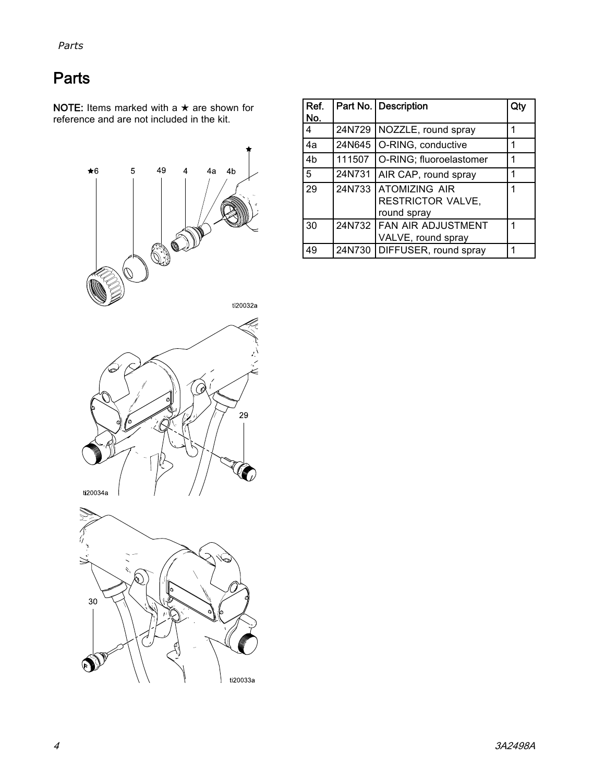### **Parts**

NOTE: Items marked with a  $\star$  are shown for reference and are not included in the kit.



| Ref.<br>No.    |        | Part No.   Description                                  |   |
|----------------|--------|---------------------------------------------------------|---|
| 4              | 24N729 | NOZZLE, round spray                                     | 1 |
| 4a             | 24N645 | O-RING, conductive<br>1                                 |   |
| 4 <sub>b</sub> | 111507 | O-RING; fluoroelastomer                                 | 1 |
| 5              | 24N731 | AIR CAP, round spray                                    | 1 |
| 29             | 24N733 | IATOMIZING AIR<br>1<br>RESTRICTOR VALVE,<br>round spray |   |
| 30             |        | 24N732 FAN AIR ADJUSTMENT<br>VALVE, round spray         | 1 |
| 49             |        | 24N730 DIFFUSER, round spray                            | 1 |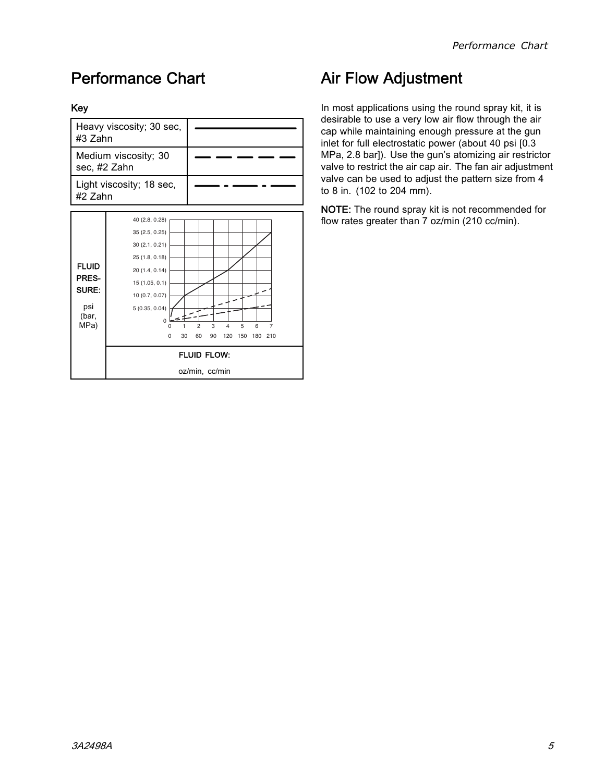### Performance Chart

#### Key

| #3 Zahn                                                | Heavy viscosity; 30 sec,                                                                                                                                          |                                                                                                       |  |  |
|--------------------------------------------------------|-------------------------------------------------------------------------------------------------------------------------------------------------------------------|-------------------------------------------------------------------------------------------------------|--|--|
| sec, #2 Zahn                                           | Medium viscosity; 30                                                                                                                                              |                                                                                                       |  |  |
| Light viscosity; 18 sec,<br>#2 Zahn                    |                                                                                                                                                                   |                                                                                                       |  |  |
| <b>FLUID</b><br>PRES-<br>SURE:<br>psi<br>(bar,<br>MPa) | 40 (2.8, 0.28)<br>35 (2.5, 0.25)<br>30 (2.1, 0.21)<br>25 (1.8, 0.18)<br>20 (1.4, 0.14)<br>15(1.05, 0.1)<br>10 (0.7, 0.07)<br>5(0.35, 0.04)<br>0<br>$\Omega$<br>30 | 3<br>4<br>5<br>6<br>$\overline{c}$<br>7<br>120<br>150<br>60<br>90<br>180<br>210<br><b>FLUID FLOW:</b> |  |  |
|                                                        | oz/min, cc/min                                                                                                                                                    |                                                                                                       |  |  |

### Air Flow Adjustment

In most applications using the round spray kit, it is desirable to use a very low air flow through the air cap while maintaining enough pressure at the gun inlet for full electrostatic power (about 40 psi [0.3 MPa, 2.8 bar]). Use the gun's atomizing air restrictor valve to restrict the air cap air. The fan air adjustment valve can be used to adjust the pattern size from 4 to 8 in. (102 to 204 mm).

NOTE: The round spray kit is not recommended for flow rates greater than 7 oz/min (210 cc/min).